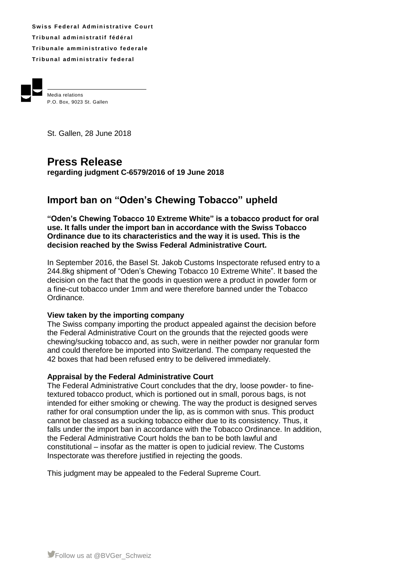Swiss Federal Administrative Court **Tr i b u n a l ad m i ni s t r a t i f f éd é r a l Tribunale amministrativo federale Tr i b u n a l ad m i ni s t r a t i v fe d e r a l**



Media relations P.O. Box, 9023 St. Gallen

St. Gallen, 28 June 2018

# **Press Release**

**regarding judgment C-6579/2016 of 19 June 2018**

## **Import ban on "Oden's Chewing Tobacco" upheld**

**"Oden's Chewing Tobacco 10 Extreme White" is a tobacco product for oral use. It falls under the import ban in accordance with the Swiss Tobacco Ordinance due to its characteristics and the way it is used. This is the decision reached by the Swiss Federal Administrative Court.**

In September 2016, the Basel St. Jakob Customs Inspectorate refused entry to a 244.8kg shipment of "Oden's Chewing Tobacco 10 Extreme White". It based the decision on the fact that the goods in question were a product in powder form or a fine-cut tobacco under 1mm and were therefore banned under the Tobacco Ordinance.

#### **View taken by the importing company**

The Swiss company importing the product appealed against the decision before the Federal Administrative Court on the grounds that the rejected goods were chewing/sucking tobacco and, as such, were in neither powder nor granular form and could therefore be imported into Switzerland. The company requested the 42 boxes that had been refused entry to be delivered immediately.

#### **Appraisal by the Federal Administrative Court**

The Federal Administrative Court concludes that the dry, loose powder- to finetextured tobacco product, which is portioned out in small, porous bags, is not intended for either smoking or chewing. The way the product is designed serves rather for oral consumption under the lip, as is common with snus. This product cannot be classed as a sucking tobacco either due to its consistency. Thus, it falls under the import ban in accordance with the Tobacco Ordinance. In addition, the Federal Administrative Court holds the ban to be both lawful and constitutional – insofar as the matter is open to judicial review. The Customs Inspectorate was therefore justified in rejecting the goods.

This judgment may be appealed to the Federal Supreme Court.